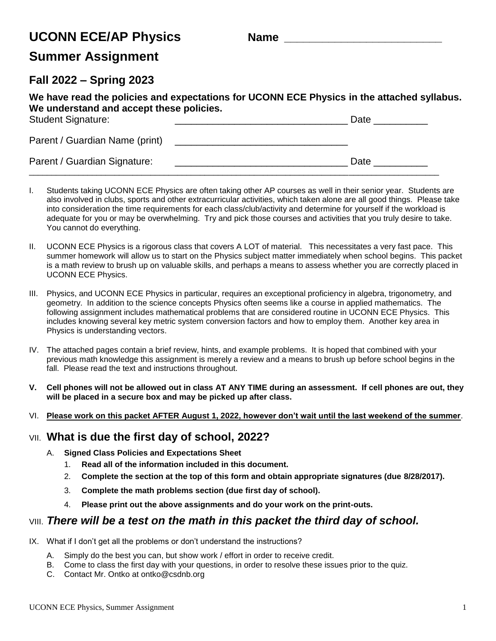# **UCONN ECE/AP Physics Name \_\_\_\_\_\_\_\_\_\_\_\_\_\_\_\_\_\_\_\_\_\_\_\_\_**

# **Summer Assignment**

### **Fall 2022 – Spring 2023**

| We have read the policies and expectations for UCONN ECE Physics in the attached syllabus.<br>We understand and accept these policies. |      |
|----------------------------------------------------------------------------------------------------------------------------------------|------|
| <b>Student Signature:</b>                                                                                                              | Date |
| Parent / Guardian Name (print)                                                                                                         |      |
| Parent / Guardian Signature:                                                                                                           | Date |

I. Students taking UCONN ECE Physics are often taking other AP courses as well in their senior year. Students are also involved in clubs, sports and other extracurricular activities, which taken alone are all good things. Please take into consideration the time requirements for each class/club/activity and determine for yourself if the workload is adequate for you or may be overwhelming. Try and pick those courses and activities that you truly desire to take. You cannot do everything.

 $\Box$ 

- II. UCONN ECE Physics is a rigorous class that covers A LOT of material. This necessitates a very fast pace. This summer homework will allow us to start on the Physics subject matter immediately when school begins. This packet is a math review to brush up on valuable skills, and perhaps a means to assess whether you are correctly placed in UCONN ECE Physics.
- III. Physics, and UCONN ECE Physics in particular, requires an exceptional proficiency in algebra, trigonometry, and geometry. In addition to the science concepts Physics often seems like a course in applied mathematics. The following assignment includes mathematical problems that are considered routine in UCONN ECE Physics. This includes knowing several key metric system conversion factors and how to employ them. Another key area in Physics is understanding vectors.
- IV. The attached pages contain a brief review, hints, and example problems. It is hoped that combined with your previous math knowledge this assignment is merely a review and a means to brush up before school begins in the fall. Please read the text and instructions throughout.
- **V. Cell phones will not be allowed out in class AT ANY TIME during an assessment. If cell phones are out, they will be placed in a secure box and may be picked up after class.**
- VI. **Please work on this packet AFTER August 1, 2022, however don't wait until the last weekend of the summer**.

#### VII. **What is due the first day of school, 2022?**

- A. **Signed Class Policies and Expectations Sheet**
	- 1. **Read all of the information included in this document.**
	- 2. **Complete the section at the top of this form and obtain appropriate signatures (due 8/28/2017).**
	- 3. **Complete the math problems section (due first day of school).**
	- 4. **Please print out the above assignments and do your work on the print-outs.**

#### VIII. *There will be a test on the math in this packet the third day of school.*

- IX. What if I don't get all the problems or don't understand the instructions?
	- A. Simply do the best you can, but show work / effort in order to receive credit.
	- B. Come to class the first day with your questions, in order to resolve these issues prior to the quiz.
	- C. Contact Mr. Ontko at ontko@csdnb.org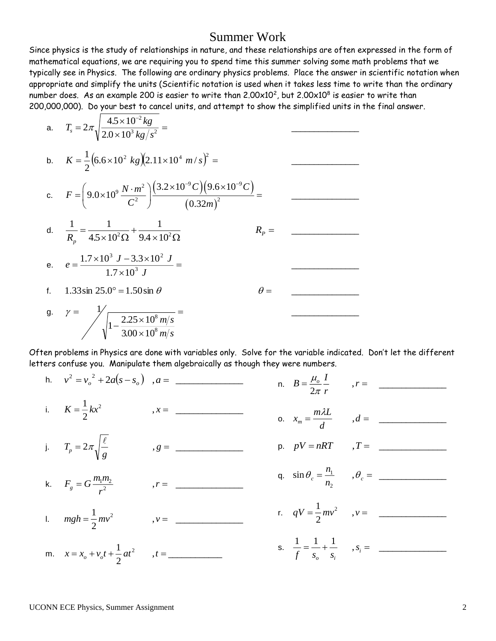## Summer Work

Since physics is the study of relationships in nature, and these relationships are often expressed in the form of mathematical equations, we are requiring you to spend time this summer solving some math problems that we typically see in Physics. The following are ordinary physics problems. Place the answer in scientific notation when appropriate and simplify the units (Scientific notation is used when it takes less time to write than the ordinary number does. As an example 200 is easier to write than 2.00 $\times$ 10<sup>2</sup>, but 2.00 $\times$ 10<sup>8</sup> is easier to write than 200,000,000). Do your best to cancel units, and attempt to show the simplified units in the final answer.

a. 
$$
T_s = 2\pi \sqrt{\frac{4.5 \times 10^{-2} kg}{2.0 \times 10^{3} kg/s^{2}}} =
$$
  
\nb.  $K = \frac{1}{2} (6.6 \times 10^{2} kg)(2.11 \times 10^{4} m/s)^{2} =$   
\nc.  $F = (9.0 \times 10^{9} \frac{N \cdot m^{2}}{C^{2}}) \frac{(3.2 \times 10^{-9} C)(9.6 \times 10^{-9} C)}{(0.32 m)^{2}} =$   
\nd.  $\frac{1}{R_p} = \frac{1}{4.5 \times 10^{2} \Omega} + \frac{1}{9.4 \times 10^{2} \Omega}$   $R_p =$   
\ne.  $e = \frac{1.7 \times 10^{3} J - 3.3 \times 10^{2} J}{1.7 \times 10^{3} J} =$   
\nf. 1.33 sin 25.0° = 1.50 sin  $\theta$   $\theta =$ 

Often problems in Physics are done with variables only. Solve for the variable indicated. Don't let the different letters confuse you. Manipulate them algebraically as though they were numbers.

| h. $v^2 = v_o^2 + 2a(s - s_o)$ , $a =$         |            | n. $B = \frac{\mu_o}{2\pi} \frac{I}{r}$ , $r = -$          |  |
|------------------------------------------------|------------|------------------------------------------------------------|--|
| i. $K = \frac{1}{2}kx^2$                       | $, x =$    | o. $x_m = \frac{m\lambda L}{d}$ , $d =$                    |  |
| j. $T_p = 2\pi \sqrt{\frac{\ell}{g}}$          | $, g = \_$ | p. $pV = nRT$ , $T =$                                      |  |
| k. $F_g = G \frac{m_1 m_2}{r^2}$               | $r =$      | q. $\sin \theta_c = \frac{n_1}{n_2}$ , $\theta_c =$ _      |  |
| 1. $mgh = \frac{1}{2}mv^2$                     | $, v =$    | r. $qV = \frac{1}{2}mv^2$ , $v =$                          |  |
| m. $x = x_o + v_o t + \frac{1}{2}at^2$ , $t =$ |            | s. $\frac{1}{f} = \frac{1}{s_o} + \frac{1}{s_i}$ , $s_i =$ |  |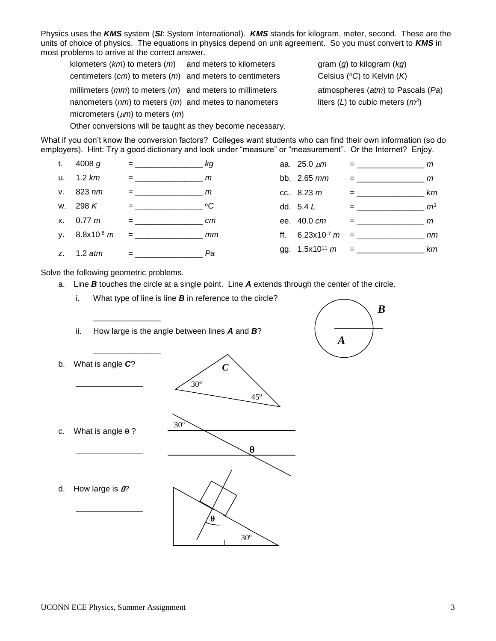Physics uses the *KMS* system (*SI*: System International). *KMS* stands for kilogram, meter, second. These are the units of choice of physics. The equations in physics depend on unit agreement. So you must convert to *KMS* in most problems to arrive at the correct answer.

kilometers (*km*) to meters (*m*) and meters to kilometers gram (*g*) to kilogram (*kg*) centimeters (*cm*) to meters (*m*) and meters to centimeters Celsius (*<sup>o</sup>C*) to Kelvin (*K*) millimeters (*mm*) to meters (*m*) and meters to millimeters atmospheres (*atm*) to Pascals (*Pa*) nanometers (*nm*) to meters (*m*) and metes to nanometers micrometers (*m*) to meters (*m*)

Other conversions will be taught as they become necessary.

liters  $(L)$  to cubic meters  $(m^3)$ 

What if you don't know the conversion factors? Colleges want students who can find their own information (so do employers). Hint: Try a good dictionary and look under "measure" or "measurement". Or the Internet? Enjoy.



 $30^\circ$ 

 $\theta$ 

Solve the following geometric problems.

\_\_\_\_\_\_\_\_\_\_\_\_\_\_\_

\_\_\_\_\_\_\_\_\_\_\_\_\_\_\_

- a. Line *B* touches the circle at a single point. Line *A* extends through the center of the circle.
	- i. What type of line is line *B* in reference to the circle?
	- ii. How large is the angle between lines *A* and *B*?



| b. | What is angle C?         | $\overline{C}$               |
|----|--------------------------|------------------------------|
|    |                          | $30^{\circ}$<br>$45^{\circ}$ |
| C. | What is angle $\theta$ ? | $30^\circ$<br>θ              |
| d. | How large is $\theta$ ?  |                              |